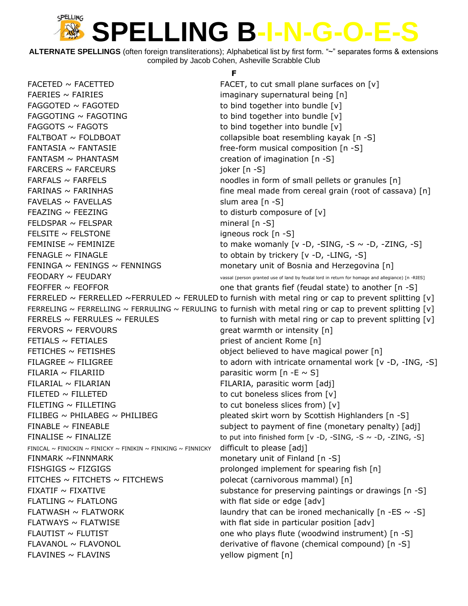**ALTERNATE SPELLINGS** (often foreign transliterations); Alphabetical list by first form. "~" separates forms & extensions compiled by Jacob Cohen, Asheville Scrabble Club

**F**

 $FACETED \sim FACETTED$  FACETTED FACET, to cut small plane surfaces on  $[v]$ FAERIES ~ FAIRIES imaginary supernatural being [n] FAGGOTED  $\sim$  FAGOTED to bind together into bundle  $[v]$ FAGGOTING  $\sim$  FAGOTING to bind together into bundle  $[v]$  $FAGGOTS \sim FAGOTS$  to bind together into bundle  $[v]$ FALTBOAT ~ FOLDBOAT **collapsible boat resembling kayak** [n -S] FANTASIA ~ FANTASIE free-form musical composition [n -S] FANTASM  $\sim$  PHANTASM  $\sim$  2011 2012 2013 creation of imagination [n -S] FARCERS ~ FARCEURS in the state of the state of the state of the state of the state of the state of the state of the state of the state of the state of the state of the state of the state of the state of the state of the s  $FARFALS \sim FARFELS$  noodles in form of small pellets or granules  $[n]$  $FARINAS \sim FARINHAS$  fine meal made from cereal grain (root of cassava) [n]  $FAVELAS \sim FAVELLAS$  slum area [n -S] FEAZING  $\sim$  FEEZING to disturb composure of  $[v]$  $FELDSPAR \sim FELSPAR$  mineral [n -S] FELSITE ~ FELSTONE igneous rock [n -S] FEMINISE ~ FEMINIZE to make womanly [v -D, -SING, -S ~ -D, -ZING, -S] FENAGLE  $\sim$  FINAGLE  $\sim$  FINAGLE to obtain by trickery [v -D, -LING, -S] FENINGA  $\sim$  FENINGS  $\sim$  FENNINGS monetary unit of Bosnia and Herzegovina [n]  $FEODARY \sim FEUDARY$  TEUDARY and the system of land by feudal lord in return for homage and allegiance) [n -RIES] FEOFFER  $\sim$  FEOFFOR  $\sim$  Tensors one that grants fief (feudal state) to another [n -S] FERRELED ~ FERRELLED ~FERRULED ~ FERULED to furnish with metal ring or cap to prevent splitting [v] FERRELING ~ FERRELLING ~ FERRULING ~ FERULING to furnish with metal ring or cap to prevent splitting [v] FERRELS  $\sim$  FERRULES  $\sim$  FERULES to furnish with metal ring or cap to prevent splitting [v]  $FERNORS \sim FERNOURS$   $qreat$  warmth or intensity  $[n]$ FETIALS ~ FETIALES priest of ancient Rome [n] FETICHES ~ FETISHES **believed** to have magical power [n] FILAGREE  $\sim$  FILIGREE to adorn with intricate ornamental work [v -D, -ING, -S] FILARIA ~ FILARIID **parasitic worm**  $[n -E \sim S]$ FILARIAL ~ FILARIAN FILARIA, parasitic worm [adj] FILETED  $\sim$  FILLETED to cut boneless slices from [v] FILETING  $\sim$  FILLETING to cut boneless slices from)  $[v]$ FILIBEG ~ PHILABEG ~ PHILIBEG  $\sim$  PHILIBEG pleated skirt worn by Scottish Highlanders [n -S] FINABLE ~ FINEABLE subject to payment of fine (monetary penalty) [adj] FINALISE  $\sim$  FINALIZE to put into finished form [v -D, -SING, -S  $\sim$  -D, -ZING, -S] FINICAL  $\sim$  FINICKIN  $\sim$  FINICKY  $\sim$  FINIKIN  $\sim$  FINIKING  $\sim$  FINNICKY difficult to please [adj] FINMARK ~FINNMARK monetary unit of Finland [n -S] FISHGIGS ~ FIZGIGS prolonged implement for spearing fish [n] FITCHES  $\sim$  FITCHETS  $\sim$  FITCHEWS polecat (carnivorous mammal) [n] FIXATIF  $\sim$  FIXATIVE substance for preserving paintings or drawings  $[n -S]$  $FLATLING \sim FLATLONG$  metal side or edge  $[adv]$ FLATWASH  $\sim$  FLATWORK laundry that can be ironed mechanically [n -ES  $\sim$  -S]  $FLATWAYS \sim FLATWISE$  with flat side in particular position [adv] FLAUTIST  $\sim$  FLUTIST  $\sim$  FLUTIST cne who plays flute (woodwind instrument) [n -S] FLAVANOL ~ FLAVONOL **but all interverse of flavone (chemical compound)** [n -S] FLAVINES ~ FLAVINS yellow pigment [n]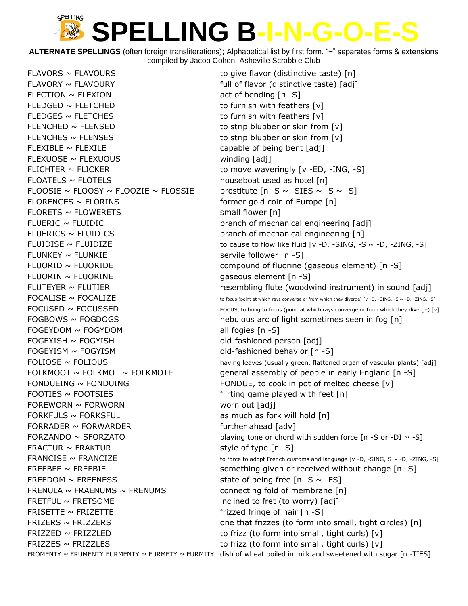**ALTERNATE SPELLINGS** (often foreign transliterations); Alphabetical list by first form. "~" separates forms & extensions compiled by Jacob Cohen, Asheville Scrabble Club

 $FLAVORY \sim FLAVOURY$  full of flavor (distinctive taste) [adj]  $FLECTION \sim FLEXION$  act of bending  $[n -S]$ FLEDGED  $\sim$  FLETCHED to furnish with feathers  $[v]$ FLEDGES  $\sim$  FLETCHES to furnish with feathers  $[v]$ FLENCHED  $\sim$  FLENSED to strip blubber or skin from [v] FLENCHES  $\sim$  FLENSES to strip blubber or skin from [v]  $FLEXIBLE \sim FLEXILE$  and the state of being bent  $[adj]$ FLEXUOSE ~ FLEXUOUS winding [adj] FLICHTER  $\sim$  FLICKER  $\sim$  TLICKER to move waveringly [v -ED, -ING, -S] FLOATELS ~ FLOTELS **bouseboat used as hotel** [n] FLOOSIE ~ FLOOSY ~ FLOOZIE ~ FLOSSIE prostitute  $[n - S \sim -S IES \sim -S \sim -S]$  $FLORENCES \sim FLORINS$  former gold coin of Europe  $[n]$  $FLORETS \sim FLOWERETS$  small flower [n] FLUERIC ~ FLUIDIC branch of mechanical engineering [adj] FLUERICS ~ FLUIDICS branch of mechanical engineering [n] FLUNKEY ~ FLUNKIE servile follower [n -S] FLUORIN ~ FLUORINE GASES GASES GASES ARE GASES FLUORING TO THE GASES OF THE GASES OF THE GASES OF THE GASES OF THE GASES OF THE GASES OF THE GASES OF THE GASES OF THE GASES OF THE GASES OF THE GASES OF THE GASES OF THE GAS  $FOGEYDOM \sim FOGYDOM$  all fogies  $[n-S]$ FOGEYISH ~ FOGYISH contract the state of the fashioned person [adj] FOGEYISM ~ FOGYISM **black** old-fashioned behavior [n -S] FOOTIES  $\sim$  FOOTSIES  $\sim$  FOOTSIES flirting game played with feet [n] FOREWORN ~ FORWORN WORD worn out [adj] FORKFULS  $\sim$  FORKSFUL as much as fork will hold [n] FORRADER ~ FORWARDER further ahead [adv] FRACTUR  $\sim$  FRAKTUR style of type  $[n -S]$ FREEDOM  $\sim$  FREENESS state of being free [n -S  $\sim$  -ES] FRENULA  $\sim$  FRAENUMS  $\sim$  FRENUMS connecting fold of membrane [n] FRETFUL  $\sim$  FRETSOME inclined to fret (to worry) [adj] FRISETTE  $\sim$  FRIZETTE frizzed fringe of hair  $[n -S]$  $FRIZZED \sim FRIZZLED$  to frizz (to form into small, tight curls)  $[v]$ FRIZZES ~ FRIZZLES to frizz (to form into small, tight curls)  $[v]$ FROMENTY ~ FRUMENTY FURMENTY ~ FURMETY ~ FURMITY dish of wheat boiled in milk and sweetened with sugar [n -TIES]

FLAVORS  $\sim$  FLAVOURS to give flavor (distinctive taste) [n] FLUIDISE  $\sim$  FLUIDIZE  $\sim$  FLUIDIZE to cause to flow like fluid [v -D, -SING, -S  $\sim$  -D, -ZING, -S] FLUORID ~ FLUORIDE compound of fluorine (gaseous element) [n -S] FLUTEYER ~ FLUTIER THE resembling flute (woodwind instrument) in sound [adj]  $\mathsf{FOCALISE} \sim \mathsf{FOCALIZE}$  to focus (point at which rays converge or from which they diverge) [v -D, -SING, -S ~ -D, -ZING, -S]  $FOCUSED \sim FOCUSSED$  FOCUSSED FOCUS, to bring to focus (point at which rays converge or from which they diverge) [v]  $FOGBOWS \sim FOGDOGS$  nebulous arc of light sometimes seen in fog [n] FOLIOSE ~ FOLIOUS having leaves (usually green, flattened organ of vascular plants) [adj] FOLKMOOT  $\sim$  FOLKMOT  $\sim$  FOLKMOTE general assembly of people in early England [n -S] FONDUEING  $\sim$  FONDUING FONDUE, to cook in pot of melted cheese  $[v]$ FORZANDO  $\sim$  SFORZATO playing tone or chord with sudden force [n -S or -DI  $\sim$  -S] FRANCISE  $\sim$  FRANCIZE  $\sim$  FRANCIZE to force to adopt French customs and language [v -D, -SING, S  $\sim$  -D, -ZING, -S] FREEBEE ~ FREEBIE something given or received without change [n -S] FRIZERS  $\sim$  FRIZZERS  $\sim$  FRIZZERS  $\sim$  6.000 me that frizzes (to form into small, tight circles) [n]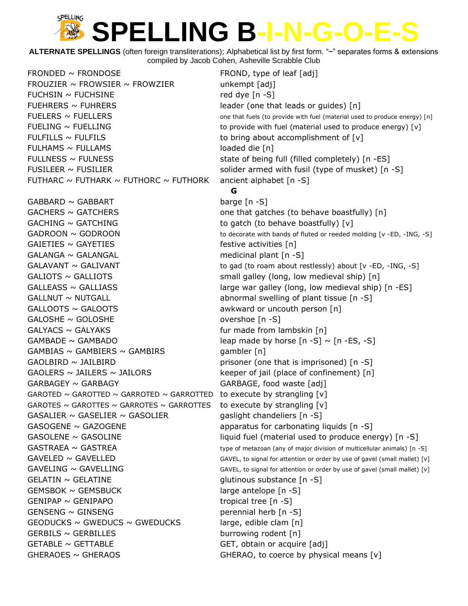**ALTERNATE SPELLINGS** (often foreign transliterations); Alphabetical list by first form. "~" separates forms & extensions compiled by Jacob Cohen, Asheville Scrabble Club

 $FRONDED \sim FRONDOSE$  FRONDED  $\sim$  FROND  $\sim$  FROND, type of leaf [adj] FROUZIER  $\sim$  FROWSIER  $\sim$  FROWZIER unkempt [adj]  $FUCHSIN \sim FUCHSINE$  red dye  $[n-S]$ FUEHRERS ~ FUHRERS **in the set of the set of the leader** (one that leads or guides) [n] FUELERS  $\sim$  FUELLERS  $\sim$  FUELLERS FUELING  $\sim$  FUELLING to provide with fuel (material used to produce energy)  $[v]$ FULFILLS  $\sim$  FULFILS to bring about accomplishment of [v]  $FULHAMS \sim FULLAMS$  is a set of the loaded die [n] FULLNESS  $\sim$  FULNESS  $\sim$  FULNESS state of being full (filled completely) [n -ES] FUSILEER  $\sim$  FUSILIER  $\sim$  solider armed with fusil (type of musket) [n -S] FUTHARC  $\sim$  FUTHARK  $\sim$  FUTHORC  $\sim$  FUTHORK ancient alphabet [n -S] **G**  $GABBARD \sim GABBART$  barge  $[n -S]$ GACHERS ~ GATCHERS **but all that gatches** (to behave boastfully) [n]  $GACHING \sim GATCHING$  to gatch (to behave boastfully)  $[v]$  $GADROON \sim GODROON$   $\sim$   $GODROON$  to decorate with bands of fluted or reeded molding [v -ED, -ING, -S]  $GAIETIES \sim GAYETIES$  festive activities  $[n]$  $GALANGA \sim GALANGAL$  medicinal plant  $[n -S]$ GALAVANT  $\sim$  GALIVANT to gad (to roam about restlessly) about  $\lceil v \cdot \text{ED} \rceil$  -ING, -S]  $GALIOTS \sim GALLIOTS$  small galley (long, low medieval ship)  $[n]$ GALLEASS  $\sim$  GALLIASS  $\sim$  in the large war galley (long, low medieval ship) [n -ES]  $GALLNUT \sim NUTGALL$  abnormal swelling of plant tissue  $[n -S]$ GALLOOTS ~ GALOOTS awkward or uncouth person [n]  $GALOSHE \sim GOLOSHE$  overshoe  $[n-S]$  $GALYACS \sim GALYAKS$  fur made from lambskin  $[n]$ GAMBADE  $\sim$  GAMBADO leap made by horse  $[n - S] \sim [n - ES, -S]$  $GAMBIAS \sim GAMBIERS \sim GAMBIRS$  gambler [n]  $GAOLBIRD \sim JAILBIRD$  example are prisoner (one that is imprisoned)  $[n-S]$  $GAOLERS \sim JAILERS \sim JAILORS$  keeper of jail (place of confinement) [n] GARBAGEY ~ GARBAGY GARBAGE, food waste [adj] GAROTED  $\sim$  GAROTTED  $\sim$  GARROTED  $\sim$  GARROTTED to execute by strangling [v] GAROTES  $\sim$  GAROTTES  $\sim$  GARROTES  $\sim$  GARROTTES to execute by strangling [v] GASALIER  $\sim$  GASELIER  $\sim$  GASOLIER gaslight chandeliers [n -S] GASOGENE  $\sim$  GAZOGENE apparatus for carbonating liquids [n -S] GASOLENE  $\sim$  GASOLINE  $\sim$  10 GASOLINE liquid fuel (material used to produce energy) [n -S]  $GASTRAEA \sim GASTREA$  type of metazoan (any of major division of multicellular animals) [n -S]  $GAVELED \sim GAVELED$  GAVELLED GAVEL, to signal for attention or order by use of gavel (small mallet) [v]  $GAVELING \sim GAVELLING$  GAVEL GAVEL GAVEL, to signal for attention or order by use of gavel (small mallet) [v] GELATIN ~ GELATINE glutinous substance [n -S]  $GEMSBOK \sim GEMSBUCK$  large antelope  $[n -S]$  $GENIPAP \sim GENIPAPO$  tropical tree [n -S] GENSENG ~ GINSENG perennial herb [n -S]  $GEODUCKS \sim GWEDUCS \sim GWEDUCKS$  large, edible clam [n]  $GERBILS \sim GERBILLES$  burrowing rodent  $[n]$ GETABLE ~ GETTABLE GET GET, obtain or acquire [adj] GHERAOES  $\sim$  GHERAOS GHERAO, to coerce by physical means [v]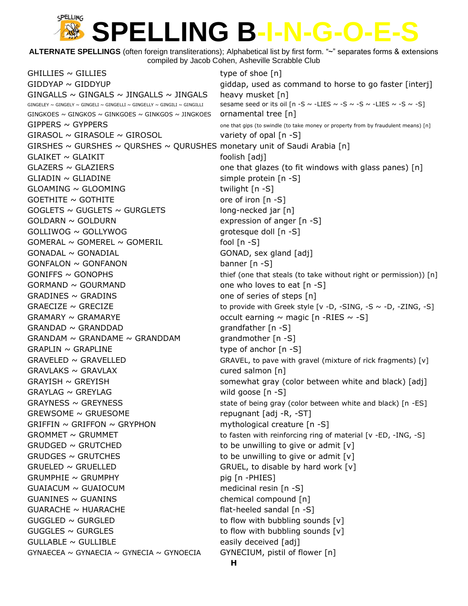**ALTERNATE SPELLINGS** (often foreign transliterations); Alphabetical list by first form. "~" separates forms & extensions compiled by Jacob Cohen, Asheville Scrabble Club

 $GHILLIES \sim GILLIES$  type of shoe  $[n]$  $GIDDYAP \sim GIDDYUP$  giddap, used as command to horse to go faster [interj] GINGALLS  $\sim$  GINGALS  $\sim$  JINGALLS  $\sim$  JINGALS heavy musket [n] GINGELEY ~ GINGELY ~ GINGELI ~ GINGELLI ~ GINGELLY ~ GINGILI ~ GINGILLI Sesame seed or its oil  $[n-S \sim -LIES \sim -S \sim -S \sim -LIES \sim -S \sim -S]$ GINGKOES ~ GINGKOS ~ GINKGOES ~ GINKGOS ~ JINGKOES ornamental tree  $\lceil n \rceil$  $GIPPERS \sim GYPPERS$  one that gips (to swindle (to take money or property from by fraudulent means) [n]  $GIRASOL \sim GIRASOLE \sim GIROSOL$  variety of opal  $[n -S]$ GIRSHES  $\sim$  GURSHES  $\sim$  QURSHES  $\sim$  QURUSHES monetary unit of Saudi Arabia [n]  $GLAIKET \sim GLAIKIT$  foolish [adj]  $GLAZERS \sim GLAZIERS$  one that glazes (to fit windows with glass panes) [n]  $GLIADIN \sim GLIADINE$  simple protein [n -S]  $G$ LOAMING ~  $G$ LOOMING  $\sim$  twilight  $[n - S]$  $GOETHITE \sim GOTHITE$  ore of iron  $[n-S]$  $GOGLETS \sim GUGLETS \sim GURGLETS$  long-necked jar [n]  $GOLD:ORN \sim GOLD:URN$  expression of anger [n -S]  $GOLLIWOG \sim GOLLYWOG$  grotesque doll  $[n-S]$  $GOMERAL \sim GOMEREL \sim GOMERIL$  fool  $[n-S]$  $GONADAL \sim GONADIAL$  GONADIAL GONAD, sex gland [adj]  $GONFALON \sim GONFANON$  banner  $[n -S]$  $GONIFFS \sim GONOPHS$  thief (one that steals (to take without right or permission)) [n]  $GORITHM \sim GOURMAND$  one who loves to eat  $[n -S]$  $GRADINES \sim GRADINS$  one of series of steps  $[n]$ GRAECIZE  $\sim$  GRECIZE to provide with Greek style [v -D, -SING, -S  $\sim$  -D, -ZING, -S] GRAMARY  $\sim$  GRAMARYE occult earning  $\sim$  magic [n -RIES  $\sim$  -S]  $GRANDAD \sim GRANDDAD$  grandfather  $[n -S]$  $GRANDAM \sim GRANDAME \sim GRANDDAM$  grandmother [n -S]  $GRAPLIN \sim GRAPLINE$  type of anchor  $[n -S]$  $GRAVELED \sim GRAVELLED$  GRAVEL GRAVEL, to pave with gravel (mixture of rick fragments) [v]  $GRAVLAKS \sim GRAVLAX$  cured salmon [n]  $GRAYISH \sim GREFISH$  somewhat gray (color between white and black) [adj]  $GRAYLAG \sim GREYLAG$  wild goose  $[n -S]$  $GRAYNESS \sim GREYNESS$  state of being gray (color between white and black) [n -ES]  $GREWSOME \sim GRUESONE$  repugnant [adj -R, -ST] GRIFFIN  $\sim$  GRIFFON  $\sim$  GRYPHON mythological creature [n -S]  $GROMMET \sim GRUMMET$  to fasten with reinforcing ring of material [v -ED, -ING, -S] GRUDGED  $\sim$  GRUTCHED to be unwilling to give or admit  $[v]$ GRUDGES  $\sim$  GRUTCHES to be unwilling to give or admit  $[v]$  $GRUELED \sim GRUELLED$  GRUEL GRUEL, to disable by hard work  $[v]$  $GRUMPHIE \sim GRUMPHY$  pig  $[n -PHIES]$ GUAIACUM ~ GUAIOCUM medicinal resin [n -S]  $GUANINES \sim GUANINS$  chemical compound  $[n]$  $GUARACLE \sim HUARACHE$   $\qquad \qquad$  flat-heeled sandal [n -S]  $GUGGLED \sim GURGLED$  to flow with bubbling sounds  $[v]$  $GUGGLES \sim GURGLES$  to flow with bubbling sounds  $[v]$  $GULLABLE \sim GULLIBLE$  easily deceived [adj] GYNAECEA ~ GYNAECIA ~ GYNECIA ~ GYNOECIA GYNECIUM, pistil of flower  $\lceil n \rceil$ **H**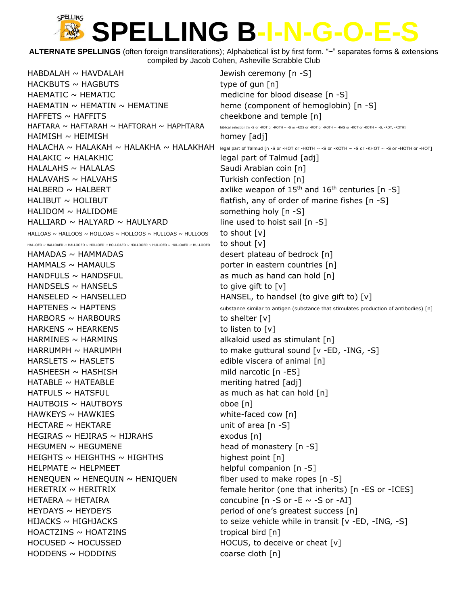**ALTERNATE SPELLINGS** (often foreign transliterations); Alphabetical list by first form. "~" separates forms & extensions compiled by Jacob Cohen, Asheville Scrabble Club

 $HABDALAH \sim HAVDALAH$   $Jewish$  ceremony  $[n -S]$  $HACKBUTS \sim HAGBUTS$  type of gun  $[n]$ HAEMATIC ~ HEMATIC medicine for blood disease [n -S] HAEMATIN  $\sim$  HEMATIN  $\sim$  HEMATINE heme (component of hemoglobin) [n -S] HAFFETS ~ HAFFITS cheekbone and temple [n]  $HAFTARA \sim HAFTARAH \sim HAFTORAH \sim HAPHTARA$  biblical selection [n -S or -ROT or -ROTH ~ -S or -ROT or -ROTH ~ -RAS or -ROT or -ROTH ~ -S, -ROT, -ROTH HAIMISH ~ HEIMISH homey [adj]  $HALAKIC \sim HALAKHIC$  is a set of Talmud [adj] HALALAHS ~ HALALAS Saudi Arabian coin [n] HALAVAHS ~ HALVAHS TURKISH CONFECTION TURKISH CONFECTION [n] HALBERD ~ HALBERT **axlike weapon of 15<sup>th</sup> and 16<sup>th</sup> centuries [n -S]**  $HALIBUT \sim HOLIBUT$   $\sim$  HOLIBUT  $HALIDOM \sim HALIDOME$  something holy  $[n -S]$ HALLIARD  $\sim$  HALYARD  $\sim$  HAULYARD line used to hoist sail [n -S] HALLOAS ~ HALLOOS ~ HOLLOAS ~ HOLLOOS ~ HULLOAS ~ HULLOOS to shout  $[v]$ 

HAMADAS ~ HAMMADAS desert plateau of bedrock [n]  $HAMMALS \sim HAMAULS$   $\qquad \qquad$  porter in eastern countries [n]  $HANDFULS \sim HANDSFUL$  as much as hand can hold  $[n]$  $HANDSELS \sim HANSELS$  to give gift to  $[v]$  $HARBORS \sim HARBOURS$  to shelter  $[v]$  $HARKENS \sim HEARKENS$  to listen to [v] HARMINES ~ HARMINS alkaloid used as stimulant [n] HARSLETS ~ HASLETS edible viscera of animal [n] HASHEESH ~ HASHISH mild narcotic [n -ES]  $HATABLE \sim HATEABLE$  meriting hatred [adj]  $HATFULS \sim HATSFUL$  as much as hat can hold  $[n]$ HAUTBOIS ~ HAUTBOYS oboe [n] HAWKEYS ~ HAWKIES example a metal white-faced cow [n]  $HECTARE \sim HEKTARE$  unit of area  $[n-S]$  $HEGIRAS \sim HEJIRAS \sim HIJRAHS$  exodus [n] HEGUMEN ~ HEGUMENE head of monastery [n -S]  $HEIGHTS \sim HEIGHTHS \sim HIGHTHS$  highest point [n] HELPMATE ~ HELPMEET helpful companion [n -S] HENEQUEN  $\sim$  HENEQUIN  $\sim$  HENIQUEN fiber used to make ropes [n -S]  $HETAERA \sim HETAIRA$  concubine  $[n -S$  or  $-E \sim -S$  or  $-AI$ ] HEYDAYS ~ HEYDEYS extended that the period of one's greatest success [n]  $HOACTZINS \sim HOATZINS$  tropical bird [n]  $HOCUSED \sim HOCUSSED$  HOCUSSED HOCUS, to deceive or cheat  $[v]$  $HODDENS \sim HODDINS$  coarse cloth  $[n]$ 

 $HALACHA \sim HALAKAH \sim HALAKHA \sim HALAKHAH$   $\sim$  HALAKHAH legal part of Talmud [n -S or -HOT or -HOTH ~ -S or -KOTH ~ -S or -KHOT ~ -S or -HOTH or -HOTI HALLOED ~ HALLOAED ~ HALLOOED ~ HOLLOED ~ HOLLOAED ~ HOLLOOED ~ HULLOAED ~ HULLOOED to should  $[{\bf v}]$  $HANSELED \sim HANSELED$  HANSEL, to handsel (to give gift to) [v]  $HAPTENES \sim HAPTENS$  substance similar to antigen (substance that stimulates production of antibodies) [n]  $HARRUMPH \sim HARUMPH$  to make guttural sound [v -ED, -ING, -S] HERETRIX ~ HERITRIX **that in the interior (one that inherits)** [n -ES or -ICES] HIJACKS  $\sim$  HIGHJACKS  $\sim$  to seize vehicle while in transit [v -ED, -ING, -S]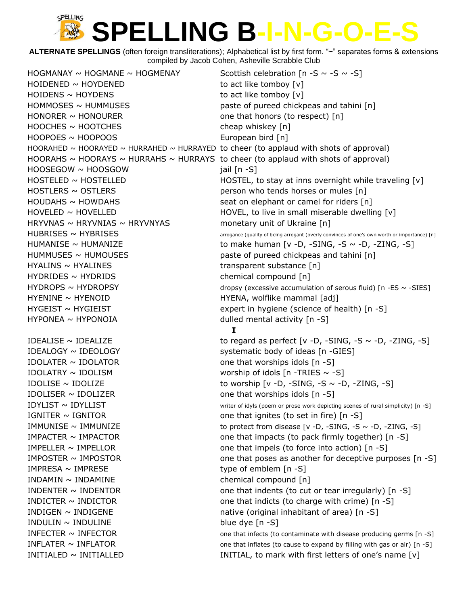**ALTERNATE SPELLINGS** (often foreign transliterations); Alphabetical list by first form. "~" separates forms & extensions compiled by Jacob Cohen, Asheville Scrabble Club

HOGMANAY ~ HOGMANE ~ HOGMENAY Scottish celebration  $[n - S \sim -S \sim -S]$  $H OIDENED \sim H OYDENED$  to act like tomboy  $[v]$  $H OIDENS \sim H OYDENS$  to act like tomboy  $[v]$  $HOMMOSES \sim HUMMUSES$  paste of pureed chickpeas and tahini [n]  $HONORER \sim HONOURER$  one that honors (to respect) [n]  $HOOCHES \sim HOOTCHES$  cheap whiskey  $[n]$ HOOPOES ~ HOOPOOS European bird [n] HOORAHED  $\sim$  HOORAYED  $\sim$  HURRAHED  $\sim$  HURRAYED to cheer (to applaud with shots of approval) HOOSEGOW ~ HOOSGOW inil [n -S] HOSTLERS ~ OSTLERS **person who tends horses or mules [n]**  $HOUDAHS \sim HOWDAHS$  seat on elephant or camel for riders [n] HRYVNAS  $\sim$  HRYVNIAS  $\sim$  HRYVNYAS monetary unit of Ukraine [n] HUMMUSES ~ HUMOUSES **basis** paste of pureed chickpeas and tahini [n] HYALINS ~ HYALINES transparent substance [n] HYDRIDES ~ HYDRIDS chemical compound [n] HYENINE ~ HYENOID **HYENA**, wolflike mammal [adj]  $HYGEIST \sim HYGEIST$  expert in hygiene (science of health) [n -S]  $HYPONEA \sim HYPONOIA$  dulled mental activity  $[n -S]$ IDEALOGY ~ IDEOLOGY systematic body of ideas [n -GIES] IDOLATER  $\sim$  IDOLATOR one that worships idols  $[n -S]$ IDOLATRY  $\sim$  IDOLISM worship of idols [n -TRIES  $\sim$  -S] IDOLISER  $\sim$  IDOLIZER one that worships idols  $[n -S]$  $IGNITER \sim IGNITOR$  one that ignites (to set in fire)  $[n-S]$ IMPELLER  $\sim$  IMPELLOR one that impels (to force into action)  $\lceil n - S \rceil$  $IMPRESA \sim IMPRESE$  type of emblem  $[n -S]$  $INDAMIN \sim INDAMINE$  chemical compound  $[n]$ INDIGEN  $\sim$  INDIGENE native (original inhabitant of area) [n -S]  $IDULIN \sim INDULINE$  blue dye  $[n -S]$ 

HOORAHS  $\sim$  HOORAYS  $\sim$  HURRAHS  $\sim$  HURRAYS to cheer (to applaud with shots of approval) HOSTELED ~ HOSTELLED HOSTEL, to stay at inns overnight while traveling [v]  $H$ OVELED ~ HOVELLED HOVEL, to live in small miserable dwelling  $[v]$  $HUBRISES \sim HYBRISES$  arrogance (quality of being arrogant (overly convinces of one's own worth or importance) [n] HUMANISE  $\sim$  HUMANIZE to make human [v -D, -SING, -S  $\sim$  -D, -ZING, -S] HYDROPS  $\sim$  HYDROPSY  $\sim$   $\sim$  -SIES] **I** IDEALISE  $\sim$  IDEALIZE to regard as perfect [v -D, -SING, -S  $\sim$  -D, -ZING, -S] IDOLISE  $\sim$  IDOLIZE to worship  $\lceil v \cdot D \rceil$  -SING, -S  $\sim$  -D, -ZING, -S] IDYLIST ~ IDYLLIST **FOULLIST** TO THE MOVIES OF THE MOVIES OF THE MOVIES OF THE MOVIES OF THE STEET OF THE STEET OF THE MOVIES OF THE STEET OF THE STEET OF THE STEET OF THE STEET OF THE STEET OF THE STEET OF THE STEET OF TH IMMUNISE  $\sim$  IMMUNIZE to protect from disease [v -D, -SING, -S  $\sim$  -D, -ZING, -S] IMPACTER  $\sim$  IMPACTOR one that impacts (to pack firmly together) [n -S] IMPOSTER  $\sim$  IMPOSTOR one that poses as another for deceptive purposes [n -S] INDENTER  $\sim$  INDENTOR one that indents (to cut or tear irregularly) [n -S] INDICTER  $\sim$  INDICTOR one that indicts (to charge with crime) [n -S] INFECTER  $\sim$  INFECTOR  $\sim$  000 that infects (to contaminate with disease producing germs [n -S] INFLATER  $\sim$  INFLATOR  $\sim$  10.5] INITIALED ~ INITIALLED **INITIAL**, to mark with first letters of one's name [v]